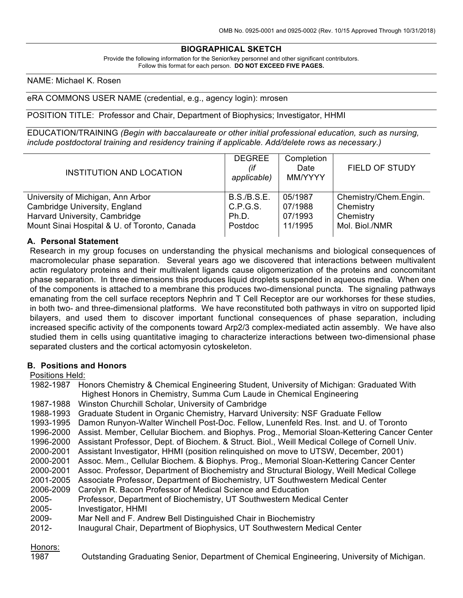## **BIOGRAPHICAL SKETCH**

Provide the following information for the Senior/key personnel and other significant contributors. Follow this format for each person. **DO NOT EXCEED FIVE PAGES.**

NAME: Michael K. Rosen

#### eRA COMMONS USER NAME (credential, e.g., agency login): mrosen

#### POSITION TITLE: Professor and Chair, Department of Biophysics; Investigator, HHMI

EDUCATION/TRAINING *(Begin with baccalaureate or other initial professional education, such as nursing, include postdoctoral training and residency training if applicable. Add/delete rows as necessary.)*

| <b>INSTITUTION AND LOCATION</b>              | <b>DEGREE</b><br>(if<br>applicable) | Completion<br>Date<br>MM/YYYY | <b>FIELD OF STUDY</b> |
|----------------------------------------------|-------------------------------------|-------------------------------|-----------------------|
| University of Michigan, Ann Arbor            | <b>B.S./B.S.E.</b>                  | 05/1987                       | Chemistry/Chem.Engin. |
| Cambridge University, England                | C.P.G.S.                            | 07/1988                       | Chemistry             |
| Harvard University, Cambridge                | Ph.D.                               | 07/1993                       | Chemistry             |
| Mount Sinai Hospital & U. of Toronto, Canada | Postdoc                             | 11/1995                       | Mol. Biol./NMR        |

#### **A. Personal Statement**

Research in my group focuses on understanding the physical mechanisms and biological consequences of macromolecular phase separation. Several years ago we discovered that interactions between multivalent actin regulatory proteins and their multivalent ligands cause oligomerization of the proteins and concomitant phase separation. In three dimensions this produces liquid droplets suspended in aqueous media. When one of the components is attached to a membrane this produces two-dimensional puncta. The signaling pathways emanating from the cell surface receptors Nephrin and T Cell Receptor are our workhorses for these studies, in both two- and three-dimensional platforms. We have reconstituted both pathways in vitro on supported lipid bilayers, and used them to discover important functional consequences of phase separation, including increased specific activity of the components toward Arp2/3 complex-mediated actin assembly. We have also studied them in cells using quantitative imaging to characterize interactions between two-dimensional phase separated clusters and the cortical actomyosin cytoskeleton.

#### **B. Positions and Honors**

#### Positions Held:

| 1982-1987 | Honors Chemistry & Chemical Engineering Student, University of Michigan: Graduated With        |
|-----------|------------------------------------------------------------------------------------------------|
|           | Highest Honors in Chemistry, Summa Cum Laude in Chemical Engineering                           |
| 1987-1988 | Winston Churchill Scholar, University of Cambridge                                             |
| 1988-1993 | Graduate Student in Organic Chemistry, Harvard University: NSF Graduate Fellow                 |
| 1993-1995 | Damon Runyon-Walter Winchell Post-Doc. Fellow, Lunenfeld Res. Inst. and U. of Toronto          |
| 1996-2000 | Assist. Member, Cellular Biochem. and Biophys. Prog., Memorial Sloan-Kettering Cancer Center   |
| 1996-2000 | Assistant Professor, Dept. of Biochem. & Struct. Biol., Weill Medical College of Cornell Univ. |
| 2000-2001 | Assistant Investigator, HHMI (position relinguished on move to UTSW, December, 2001)           |
| 2000-2001 | Assoc. Mem., Cellular Biochem. & Biophys. Prog., Memorial Sloan-Kettering Cancer Center        |
| 2000-2001 | Assoc. Professor, Department of Biochemistry and Structural Biology, Weill Medical College     |
| 2001-2005 | Associate Professor, Department of Biochemistry, UT Southwestern Medical Center                |
| 2006-2009 | Carolyn R. Bacon Professor of Medical Science and Education                                    |
| 2005-     | Professor, Department of Biochemistry, UT Southwestern Medical Center                          |
| 2005-     | Investigator, HHMI                                                                             |
| 2009-     | Mar Nell and F. Andrew Bell Distinguished Chair in Biochemistry                                |
| $2012 -$  | Inaugural Chair, Department of Biophysics, UT Southwestern Medical Center                      |
|           |                                                                                                |

#### Honors:

1987 Outstanding Graduating Senior, Department of Chemical Engineering, University of Michigan.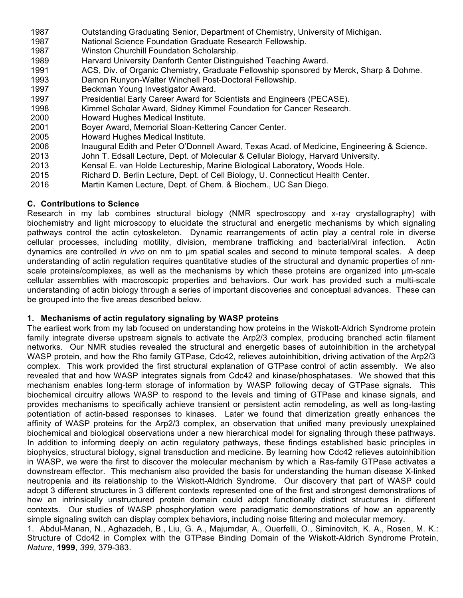- 1987 Outstanding Graduating Senior, Department of Chemistry, University of Michigan.
- 1987 National Science Foundation Graduate Research Fellowship.
- 1987 Winston Churchill Foundation Scholarship.
- 1989 Harvard University Danforth Center Distinguished Teaching Award.
- 1991 ACS, Div. of Organic Chemistry, Graduate Fellowship sponsored by Merck, Sharp & Dohme.
- 1993 Damon Runyon-Walter Winchell Post-Doctoral Fellowship.
- 1997 Beckman Young Investigator Award.
- 1997 Presidential Early Career Award for Scientists and Engineers (PECASE).
- 1998 Kimmel Scholar Award, Sidney Kimmel Foundation for Cancer Research.
- 2000 Howard Hughes Medical Institute.
- 2001 Boyer Award, Memorial Sloan-Kettering Cancer Center.
- 2005 Howard Hughes Medical Institute.
- 2006 Inaugural Edith and Peter O'Donnell Award, Texas Acad. of Medicine, Engineering & Science.
- 2013 John T. Edsall Lecture, Dept. of Molecular & Cellular Biology, Harvard University.
- 2013 Kensal E. van Holde Lectureship, Marine Biological Laboratory, Woods Hole.
- 2015 Richard D. Berlin Lecture, Dept. of Cell Biology, U. Connecticut Health Center.
- 2016 Martin Kamen Lecture, Dept. of Chem. & Biochem., UC San Diego.

## **C. Contributions to Science**

Research in my lab combines structural biology (NMR spectroscopy and x-ray crystallography) with biochemistry and light microscopy to elucidate the structural and energetic mechanisms by which signaling pathways control the actin cytoskeleton. Dynamic rearrangements of actin play a central role in diverse cellular processes, including motility, division, membrane trafficking and bacterial/viral infection. Actin dynamics are controlled *in vivo* on nm to µm spatial scales and second to minute temporal scales. A deep understanding of actin regulation requires quantitative studies of the structural and dynamic properties of nmscale proteins/complexes, as well as the mechanisms by which these proteins are organized into  $\mu$ m-scale cellular assemblies with macroscopic properties and behaviors. Our work has provided such a multi-scale understanding of actin biology through a series of important discoveries and conceptual advances. These can be grouped into the five areas described below.

## **1. Mechanisms of actin regulatory signaling by WASP proteins**

The earliest work from my lab focused on understanding how proteins in the Wiskott-Aldrich Syndrome protein family integrate diverse upstream signals to activate the Arp2/3 complex, producing branched actin filament networks. Our NMR studies revealed the structural and energetic bases of autoinhibition in the archetypal WASP protein, and how the Rho family GTPase, Cdc42, relieves autoinhibition, driving activation of the Arp2/3 complex. This work provided the first structural explanation of GTPase control of actin assembly. We also revealed that and how WASP integrates signals from Cdc42 and kinase/phosphatases. We showed that this mechanism enables long-term storage of information by WASP following decay of GTPase signals. This biochemical circuitry allows WASP to respond to the levels and timing of GTPase and kinase signals, and provides mechanisms to specifically achieve transient or persistent actin remodeling, as well as long-lasting potentiation of actin-based responses to kinases. Later we found that dimerization greatly enhances the affinity of WASP proteins for the Arp2/3 complex, an observation that unified many previously unexplained biochemical and biological observations under a new hierarchical model for signaling through these pathways. In addition to informing deeply on actin regulatory pathways, these findings established basic principles in biophysics, structural biology, signal transduction and medicine. By learning how Cdc42 relieves autoinhibition in WASP, we were the first to discover the molecular mechanism by which a Ras-family GTPase activates a downstream effector. This mechanism also provided the basis for understanding the human disease X-linked neutropenia and its relationship to the Wiskott-Aldrich Syndrome. Our discovery that part of WASP could adopt 3 different structures in 3 different contexts represented one of the first and strongest demonstrations of how an intrinsically unstructured protein domain could adopt functionally distinct structures in different contexts. Our studies of WASP phosphorylation were paradigmatic demonstrations of how an apparently simple signaling switch can display complex behaviors, including noise filtering and molecular memory.

1. Abdul-Manan, N., Aghazadeh, B., Liu, G. A., Majumdar, A., Ouerfelli, O., Siminovitch, K. A., Rosen, M. K.: Structure of Cdc42 in Complex with the GTPase Binding Domain of the Wiskott-Aldrich Syndrome Protein, *Nature*, **1999**, *399*, 379-383.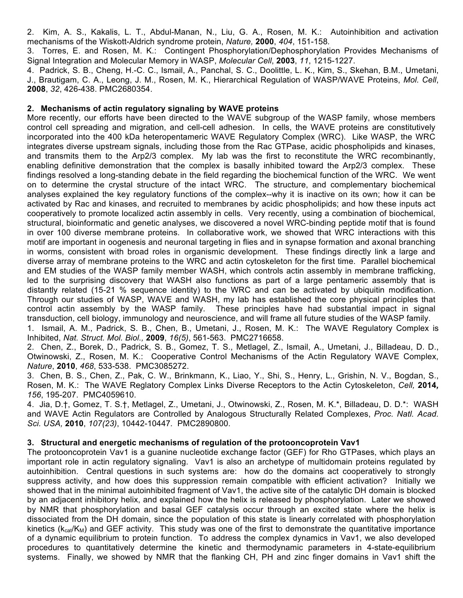2. Kim, A. S., Kakalis, L. T., Abdul-Manan, N., Liu, G. A., Rosen, M. K.: Autoinhibition and activation mechanisms of the Wiskott-Aldrich syndrome protein, *Nature,* **2000**, *404*, 151-158*.*

3. Torres, E. and Rosen, M. K.: Contingent Phosphorylation/Dephosphorylation Provides Mechanisms of Signal Integration and Molecular Memory in WASP, *Molecular Cell*, **2003**, *11*, 1215-1227.

4. Padrick, S. B., Cheng, H.-C. C., Ismail, A., Panchal, S. C., Doolittle, L. K., Kim, S., Skehan, B.M., Umetani, J., Brautigam, C. A., Leong, J. M., Rosen, M. K., Hierarchical Regulation of WASP/WAVE Proteins, *Mol. Cell*, **2008**, *32*, 426-438. PMC2680354.

## **2. Mechanisms of actin regulatory signaling by WAVE proteins**

More recently, our efforts have been directed to the WAVE subgroup of the WASP family, whose members control cell spreading and migration, and cell-cell adhesion. In cells, the WAVE proteins are constitutively incorporated into the 400 kDa heteropentameric WAVE Regulatory Complex (WRC). Like WASP, the WRC integrates diverse upstream signals, including those from the Rac GTPase, acidic phospholipids and kinases, and transmits them to the Arp2/3 complex. My lab was the first to reconstitute the WRC recombinantly, enabling definitive demonstration that the complex is basally inhibited toward the Arp2/3 complex. These findings resolved a long-standing debate in the field regarding the biochemical function of the WRC. We went on to determine the crystal structure of the intact WRC. The structure, and complementary biochemical analyses explained the key regulatory functions of the complex--why it is inactive on its own; how it can be activated by Rac and kinases, and recruited to membranes by acidic phospholipids; and how these inputs act cooperatively to promote localized actin assembly in cells. Very recently, using a combination of biochemical, structural, bioinformatic and genetic analyses, we discovered a novel WRC-binding peptide motif that is found in over 100 diverse membrane proteins. In collaborative work, we showed that WRC interactions with this motif are important in oogenesis and neuronal targeting in flies and in synapse formation and axonal branching in worms, consistent with broad roles in organismic development. These findings directly link a large and diverse array of membrane proteins to the WRC and actin cytoskeleton for the first time. Parallel biochemical and EM studies of the WASP family member WASH, which controls actin assembly in membrane trafficking, led to the surprising discovery that WASH also functions as part of a large pentameric assembly that is distantly related (15-21 % sequence identity) to the WRC and can be activated by ubiquitin modification. Through our studies of WASP, WAVE and WASH, my lab has established the core physical principles that control actin assembly by the WASP family. These principles have had substantial impact in signal transduction, cell biology, immunology and neuroscience, and will frame all future studies of the WASP family.

1. Ismail, A. M., Padrick, S. B., Chen, B., Umetani, J., Rosen, M. K.: The WAVE Regulatory Complex is Inhibited, *Nat. Struct. Mol. Biol.,* **2009**, *16(5)*, 561-563. PMC2716658.

2. Chen, Z., Borek, D., Padrick, S. B., Gomez, T. S., Metlagel, Z., Ismail, A., Umetani, J., Billadeau, D. D., Otwinowski, Z., Rosen, M. K.: Cooperative Control Mechanisms of the Actin Regulatory WAVE Complex, *Nature*, **2010**, *468*, 533-538. PMC3085272.

3. Chen, B. S., Chen, Z., Pak, C. W., Brinkmann, K., Liao, Y., Shi, S., Henry, L., Grishin, N. V., Bogdan, S., Rosen, M. K.: The WAVE Reglatory Complex Links Diverse Receptors to the Actin Cytoskeleton, *Cell,* **2014***, 156*, 195-207. PMC4059610.

4. Jia, D.†, Gomez, T. S.†, Metlagel, Z., Umetani, J., Otwinowski, Z., Rosen, M. K.\*, Billadeau, D. D.\*: WASH and WAVE Actin Regulators are Controlled by Analogous Structurally Related Complexes, *Proc. Natl. Acad. Sci. USA,* **2010**, *107(23)*, 10442-10447*.* PMC2890800.

## **3. Structural and energetic mechanisms of regulation of the protooncoprotein Vav1**

The protooncoprotein Vav1 is a guanine nucleotide exchange factor (GEF) for Rho GTPases, which plays an important role in actin regulatory signaling. Vav1 is also an archetype of multidomain proteins regulated by autoinhibition. Central questions in such systems are: how do the domains act cooperatively to strongly suppress activity, and how does this suppression remain compatible with efficient activation? Initially we showed that in the minimal autoinhibited fragment of Vav1, the active site of the catalytic DH domain is blocked by an adjacent inhibitory helix, and explained how the helix is released by phosphorylation. Later we showed by NMR that phosphorylation and basal GEF catalysis occur through an excited state where the helix is dissociated from the DH domain, since the population of this state is linearly correlated with phosphorylation kinetics ( $k_{cat}/K_M$ ) and GEF activity. This study was one of the first to demonstrate the quantitative importance of a dynamic equilibrium to protein function. To address the complex dynamics in Vav1, we also developed procedures to quantitatively determine the kinetic and thermodynamic parameters in 4-state-equilibrium systems. Finally, we showed by NMR that the flanking CH, PH and zinc finger domains in Vav1 shift the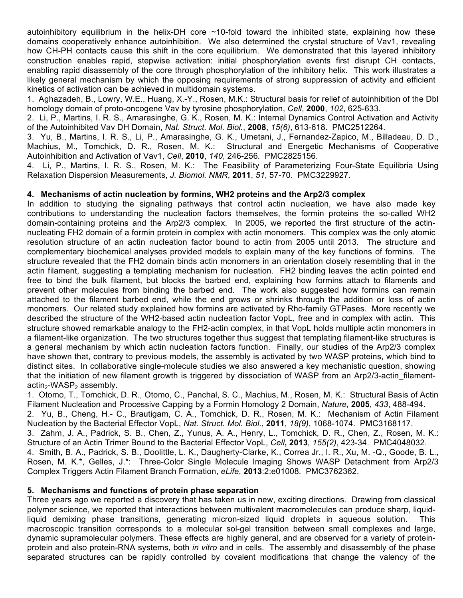autoinhibitory equilibrium in the helix-DH core  $\sim$ 10-fold toward the inhibited state, explaining how these domains cooperatively enhance autoinhibition. We also determined the crystal structure of Vav1, revealing how CH-PH contacts cause this shift in the core equilibrium. We demonstrated that this layered inhibitory construction enables rapid, stepwise activation: initial phosphorylation events first disrupt CH contacts, enabling rapid disassembly of the core through phosphorylation of the inhibitory helix. This work illustrates a likely general mechanism by which the opposing requirements of strong suppression of activity and efficient kinetics of activation can be achieved in multidomain systems.

1. Aghazadeh, B., Lowry, W.E., Huang, X.-Y., Rosen, M.K.: Structural basis for relief of autoinhibition of the Dbl homology domain of proto-oncogene Vav by tyrosine phosphorylation, *Cell*, **2000**, *102*, 625-633.

2. Li, P., Martins, I. R. S., Amarasinghe, G. K., Rosen, M. K.: Internal Dynamics Control Activation and Activity of the Autoinhibited Vav DH Domain, *Nat. Struct. Mol. Biol.*, **2008**, *15(6)*, 613-618. PMC2512264.

3. Yu, B., Martins, I. R. S., Li, P., Amarasinghe, G. K., Umetani, J., Fernandez-Zapico, M., Billadeau, D. D., Machius, M., Tomchick, D. R., Rosen, M. K.: Structural and Energetic Mechanisms of Cooperative Autoinhibition and Activation of Vav1, *Cell*, **2010**, *140*, 246-256*.* PMC2825156.

4. Li, P., Martins, I. R. S., Rosen, M. K.: The Feasibility of Parameterizing Four-State Equilibria Using Relaxation Dispersion Measurements, *J. Biomol. NMR*, **2011**, *51*, 57-70. PMC3229927.

### **4. Mechanisms of actin nucleation by formins, WH2 proteins and the Arp2/3 complex**

In addition to studying the signaling pathways that control actin nucleation, we have also made key contributions to understanding the nucleation factors themselves, the formin proteins the so-called WH2 domain-containing proteins and the Arp2/3 complex. In 2005, we reported the first structure of the actinnucleating FH2 domain of a formin protein in complex with actin monomers. This complex was the only atomic resolution structure of an actin nucleation factor bound to actin from 2005 until 2013. The structure and complementary biochemical analyses provided models to explain many of the key functions of formins. The structure revealed that the FH2 domain binds actin monomers in an orientation closely resembling that in the actin filament, suggesting a templating mechanism for nucleation. FH2 binding leaves the actin pointed end free to bind the bulk filament, but blocks the barbed end, explaining how formins attach to filaments and prevent other molecules from binding the barbed end. The work also suggested how formins can remain attached to the filament barbed end, while the end grows or shrinks through the addition or loss of actin monomers. Our related study explained how formins are activated by Rho-family GTPases. More recently we described the structure of the WH2-based actin nucleation factor VopL, free and in complex with actin. This structure showed remarkable analogy to the FH2-actin complex, in that VopL holds multiple actin monomers in a filament-like organization. The two structures together thus suggest that templating filament-like structures is a general mechanism by which actin nucleation factors function. Finally, our studies of the Arp2/3 complex have shown that, contrary to previous models, the assembly is activated by two WASP proteins, which bind to distinct sites. In collaborative single-molecule studies we also answered a key mechanistic question, showing that the initiation of new filament growth is triggered by dissociation of WASP from an Arp2/3-actin filament $actin<sub>2</sub>-WASP<sub>2</sub>$  assembly.

1. Otomo, T., Tomchick, D. R., Otomo, C., Panchal, S. C., Machius, M., Rosen, M. K.: Structural Basis of Actin Filament Nucleation and Processive Capping by a Formin Homology 2 Domain, *Nature,* **2005**, *433*, 488-494. 2. Yu, B., Cheng, H.- C., Brautigam, C. A., Tomchick, D. R., Rosen, M. K.: Mechanism of Actin Filament Nucleation by the Bacterial Effector VopL, *Nat. Struct. Mol. Biol.*, **2011**, *18(9)*, 1068-1074. PMC3168117. 3. Zahm, J. A., Padrick, S. B., Chen, Z., Yunus, A. A., Henry, L., Tomchick, D. R., Chen, Z., Rosen, M. K.: Structure of an Actin Trimer Bound to the Bacterial Effector VopL, *Cell***, 2013***, 155(2)*, 423-34. PMC4048032. 4. Smith, B. A., Padrick, S. B., Doolittle, L. K., Daugherty-Clarke, K., Correa Jr., I. R., Xu, M. -Q., Goode, B. L., Rosen, M. K.\*, Gelles, J.\*: Three-Color Single Molecule Imaging Shows WASP Detachment from Arp2/3 Complex Triggers Actin Filament Branch Formation, *eLife*, **2013**:2:e01008*.* PMC3762362.

## **5. Mechanisms and functions of protein phase separation**

Three years ago we reported a discovery that has taken us in new, exciting directions. Drawing from classical polymer science, we reported that interactions between multivalent macromolecules can produce sharp, liquidliquid demixing phase transitions, generating micron-sized liquid droplets in aqueous solution. This macroscopic transition corresponds to a molecular sol-gel transition between small complexes and large, dynamic supramolecular polymers. These effects are highly general, and are observed for a variety of proteinprotein and also protein-RNA systems, both *in vitro* and in cells. The assembly and disassembly of the phase separated structures can be rapidly controlled by covalent modifications that change the valency of the